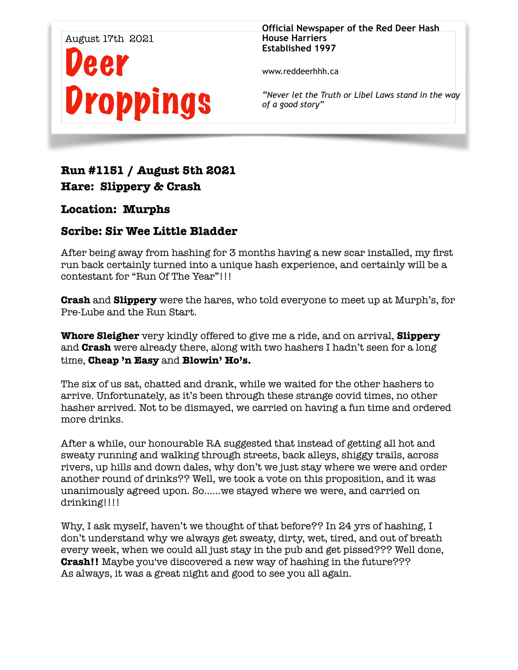

**Official Newspaper of the Red Deer Hash House Harriers Established 1997** 

www.reddeerhhh.ca

*"Never let the Truth or Libel Laws stand in the way of a good story"*

# **Run #1151 / August 5th 2021 Hare: Slippery & Crash**

### **Location: Murphs**

### **Scribe: Sir Wee Little Bladder**

After being away from hashing for 3 months having a new scar installed, my first run back certainly turned into a unique hash experience, and certainly will be a contestant for "Run Of The Year"!!!

**Crash** and **Slippery** were the hares, who told everyone to meet up at Murph's, for Pre-Lube and the Run Start.

**Whore Sleigher** very kindly offered to give me a ride, and on arrival, **Slippery**  and **Crash** were already there, along with two hashers I hadn't seen for a long time, **Cheap 'n Easy** and **Blowin' Ho's.** 

The six of us sat, chatted and drank, while we waited for the other hashers to arrive. Unfortunately, as it's been through these strange covid times, no other hasher arrived. Not to be dismayed, we carried on having a fun time and ordered more drinks.

After a while, our honourable RA suggested that instead of getting all hot and sweaty running and walking through streets, back alleys, shiggy trails, across rivers, up hills and down dales, why don't we just stay where we were and order another round of drinks?? Well, we took a vote on this proposition, and it was unanimously agreed upon. So……we stayed where we were, and carried on drinking!!!!

Why, I ask myself, haven't we thought of that before?? In 24 yrs of hashing, I don't understand why we always get sweaty, dirty, wet, tired, and out of breath every week, when we could all just stay in the pub and get pissed??? Well done, **Crash!!** Maybe you've discovered a new way of hashing in the future??? As always, it was a great night and good to see you all again.